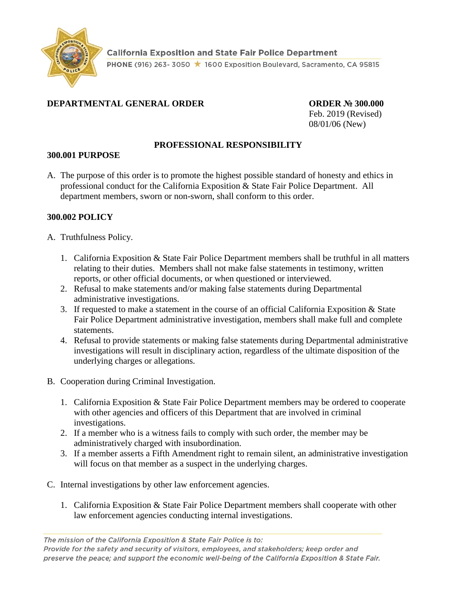

## **DEPARTMENTAL GENERAL ORDER ORDER № 300.000**

Feb. 2019 (Revised) 08/01/06 (New)

## **PROFESSIONAL RESPONSIBILITY**

## **300.001 PURPOSE**

A. The purpose of this order is to promote the highest possible standard of honesty and ethics in professional conduct for the California Exposition & State Fair Police Department. All department members, sworn or non-sworn, shall conform to this order.

## **300.002 POLICY**

- A. Truthfulness Policy.
	- 1. California Exposition & State Fair Police Department members shall be truthful in all matters relating to their duties. Members shall not make false statements in testimony, written reports, or other official documents, or when questioned or interviewed.
	- 2. Refusal to make statements and/or making false statements during Departmental administrative investigations.
	- 3. If requested to make a statement in the course of an official California Exposition & State Fair Police Department administrative investigation, members shall make full and complete statements.
	- 4. Refusal to provide statements or making false statements during Departmental administrative investigations will result in disciplinary action, regardless of the ultimate disposition of the underlying charges or allegations.
- B. Cooperation during Criminal Investigation.
	- 1. California Exposition & State Fair Police Department members may be ordered to cooperate with other agencies and officers of this Department that are involved in criminal investigations.
	- 2. If a member who is a witness fails to comply with such order, the member may be administratively charged with insubordination.
	- 3. If a member asserts a Fifth Amendment right to remain silent, an administrative investigation will focus on that member as a suspect in the underlying charges.
- C. Internal investigations by other law enforcement agencies.
	- 1. California Exposition & State Fair Police Department members shall cooperate with other law enforcement agencies conducting internal investigations.